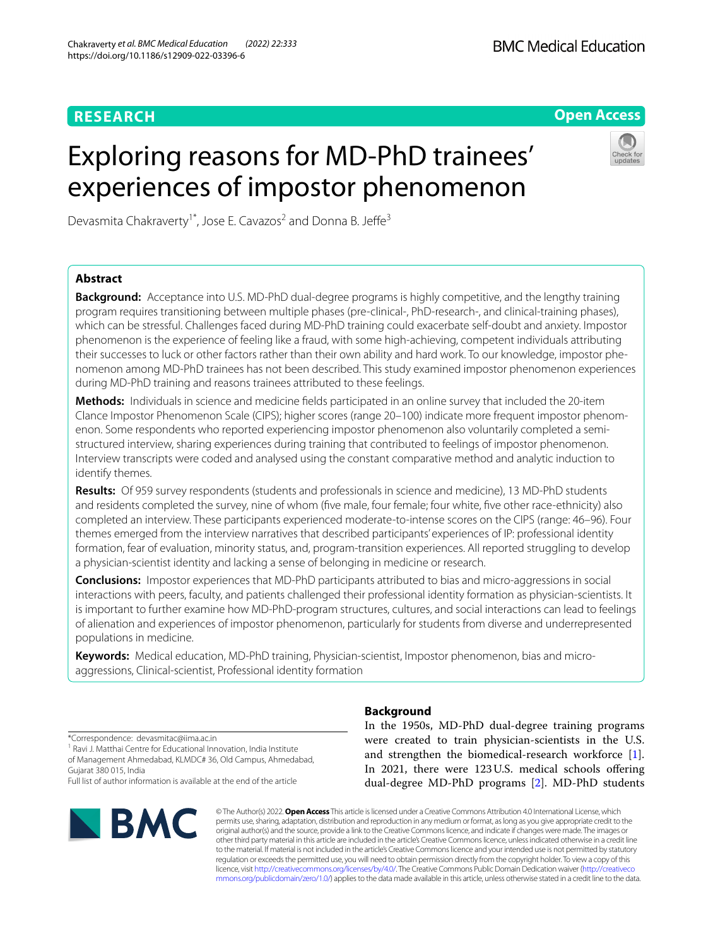# **RESEARCH**

# **Open Access**

# Exploring reasons for MD-PhD trainees' experiences of impostor phenomenon



Devasmita Chakraverty<sup>1\*</sup>, Jose E. Cavazos<sup>2</sup> and Donna B. Jeffe<sup>3</sup>

# **Abstract**

**Background:** Acceptance into U.S. MD-PhD dual-degree programs is highly competitive, and the lengthy training program requires transitioning between multiple phases (pre-clinical-, PhD-research-, and clinical-training phases), which can be stressful. Challenges faced during MD-PhD training could exacerbate self-doubt and anxiety. Impostor phenomenon is the experience of feeling like a fraud, with some high-achieving, competent individuals attributing their successes to luck or other factors rather than their own ability and hard work. To our knowledge, impostor phenomenon among MD-PhD trainees has not been described. This study examined impostor phenomenon experiences during MD-PhD training and reasons trainees attributed to these feelings.

**Methods:** Individuals in science and medicine felds participated in an online survey that included the 20-item Clance Impostor Phenomenon Scale (CIPS); higher scores (range 20–100) indicate more frequent impostor phenomenon. Some respondents who reported experiencing impostor phenomenon also voluntarily completed a semistructured interview, sharing experiences during training that contributed to feelings of impostor phenomenon. Interview transcripts were coded and analysed using the constant comparative method and analytic induction to identify themes.

**Results:** Of 959 survey respondents (students and professionals in science and medicine), 13 MD-PhD students and residents completed the survey, nine of whom (fve male, four female; four white, fve other race-ethnicity) also completed an interview. These participants experienced moderate-to-intense scores on the CIPS (range: 46–96). Four themes emerged from the interview narratives that described participants' experiences of IP: professional identity formation, fear of evaluation, minority status, and, program-transition experiences. All reported struggling to develop a physician-scientist identity and lacking a sense of belonging in medicine or research.

**Conclusions:** Impostor experiences that MD-PhD participants attributed to bias and micro-aggressions in social interactions with peers, faculty, and patients challenged their professional identity formation as physician-scientists. It is important to further examine how MD-PhD-program structures, cultures, and social interactions can lead to feelings of alienation and experiences of impostor phenomenon, particularly for students from diverse and underrepresented populations in medicine.

**Keywords:** Medical education, MD-PhD training, Physician-scientist, Impostor phenomenon, bias and microaggressions, Clinical-scientist, Professional identity formation

\*Correspondence: devasmitac@iima.ac.in

<sup>1</sup> Ravi J. Matthai Centre for Educational Innovation, India Institute of Management Ahmedabad, KLMDC# 36, Old Campus, Ahmedabad, Gujarat 380 015, India

Full list of author information is available at the end of the article



# **Background**

In the 1950s, MD-PhD dual-degree training programs were created to train physician-scientists in the U.S. and strengthen the biomedical-research workforce [\[1](#page-8-0)]. In 2021, there were 123U.S. medical schools ofering dual-degree MD-PhD programs [[2\]](#page-8-1). MD-PhD students

© The Author(s) 2022. **Open Access** This article is licensed under a Creative Commons Attribution 4.0 International License, which permits use, sharing, adaptation, distribution and reproduction in any medium or format, as long as you give appropriate credit to the original author(s) and the source, provide a link to the Creative Commons licence, and indicate if changes were made. The images or other third party material in this article are included in the article's Creative Commons licence, unless indicated otherwise in a credit line to the material. If material is not included in the article's Creative Commons licence and your intended use is not permitted by statutory regulation or exceeds the permitted use, you will need to obtain permission directly from the copyright holder. To view a copy of this licence, visit [http://creativecommons.org/licenses/by/4.0/.](http://creativecommons.org/licenses/by/4.0/) The Creative Commons Public Domain Dedication waiver ([http://creativeco](http://creativecommons.org/publicdomain/zero/1.0/) [mmons.org/publicdomain/zero/1.0/](http://creativecommons.org/publicdomain/zero/1.0/)) applies to the data made available in this article, unless otherwise stated in a credit line to the data.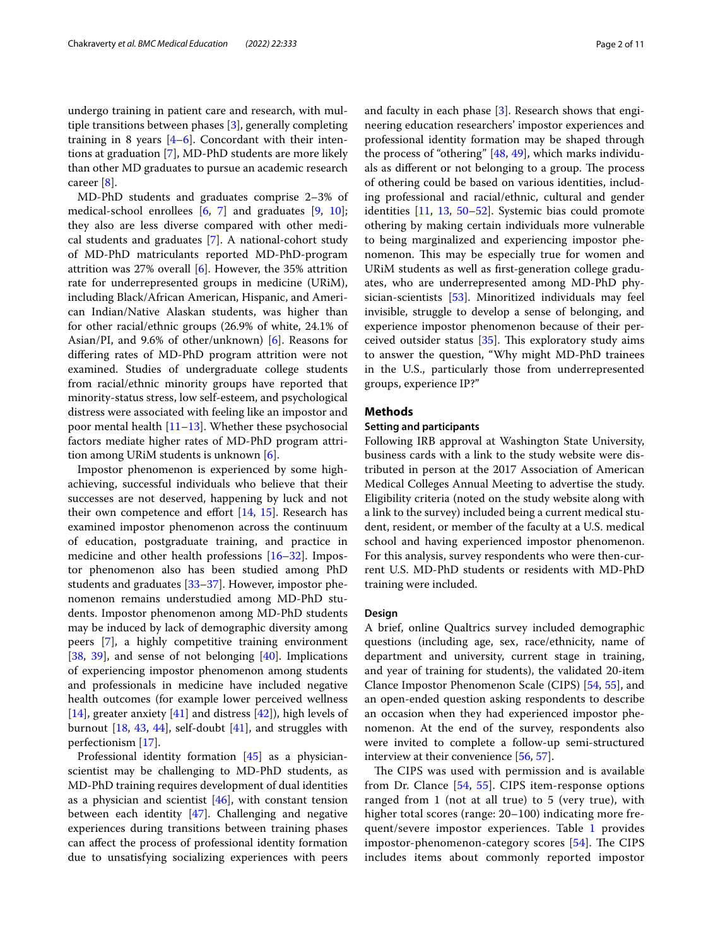undergo training in patient care and research, with multiple transitions between phases [[3\]](#page-8-2), generally completing training in 8 years  $[4-6]$  $[4-6]$  $[4-6]$ . Concordant with their intentions at graduation [[7\]](#page-8-5), MD-PhD students are more likely than other MD graduates to pursue an academic research career [[8\]](#page-8-6).

MD-PhD students and graduates comprise 2–3% of medical-school enrollees [\[6](#page-8-4), [7\]](#page-8-5) and graduates [\[9,](#page-8-7) [10](#page-8-8)]; they also are less diverse compared with other medical students and graduates [[7\]](#page-8-5). A national-cohort study of MD-PhD matriculants reported MD-PhD-program attrition was 27% overall  $[6]$  $[6]$ . However, the 35% attrition rate for underrepresented groups in medicine (URiM), including Black/African American, Hispanic, and American Indian/Native Alaskan students, was higher than for other racial/ethnic groups (26.9% of white, 24.1% of Asian/PI, and 9.6% of other/unknown) [\[6](#page-8-4)]. Reasons for difering rates of MD-PhD program attrition were not examined. Studies of undergraduate college students from racial/ethnic minority groups have reported that minority-status stress, low self-esteem, and psychological distress were associated with feeling like an impostor and poor mental health [\[11](#page-8-9)[–13\]](#page-8-10). Whether these psychosocial factors mediate higher rates of MD-PhD program attrition among URiM students is unknown [\[6](#page-8-4)].

Impostor phenomenon is experienced by some highachieving, successful individuals who believe that their successes are not deserved, happening by luck and not their own competence and effort  $[14, 15]$  $[14, 15]$  $[14, 15]$  $[14, 15]$  $[14, 15]$ . Research has examined impostor phenomenon across the continuum of education, postgraduate training, and practice in medicine and other health professions [\[16–](#page-8-13)[32\]](#page-8-14). Impostor phenomenon also has been studied among PhD students and graduates [\[33–](#page-8-15)[37\]](#page-8-16). However, impostor phenomenon remains understudied among MD-PhD students. Impostor phenomenon among MD-PhD students may be induced by lack of demographic diversity among peers [[7\]](#page-8-5), a highly competitive training environment [[38,](#page-8-17) [39](#page-8-18)], and sense of not belonging [[40\]](#page-8-19). Implications of experiencing impostor phenomenon among students and professionals in medicine have included negative health outcomes (for example lower perceived wellness [[14\]](#page-8-11), greater anxiety  $[41]$  $[41]$  and distress  $[42]$  $[42]$ ), high levels of burnout  $[18, 43, 44]$  $[18, 43, 44]$  $[18, 43, 44]$  $[18, 43, 44]$  $[18, 43, 44]$  $[18, 43, 44]$ , self-doubt  $[41]$  $[41]$ , and struggles with perfectionism [\[17\]](#page-8-21).

Professional identity formation [\[45\]](#page-9-4) as a physicianscientist may be challenging to MD-PhD students, as MD-PhD training requires development of dual identities as a physician and scientist  $[46]$  $[46]$ , with constant tension between each identity [[47\]](#page-9-6). Challenging and negative experiences during transitions between training phases can afect the process of professional identity formation due to unsatisfying socializing experiences with peers and faculty in each phase [[3\]](#page-8-2). Research shows that engineering education researchers' impostor experiences and professional identity formation may be shaped through the process of "othering" [[48](#page-9-7), [49](#page-9-8)], which marks individuals as different or not belonging to a group. The process of othering could be based on various identities, including professional and racial/ethnic, cultural and gender identities [[11](#page-8-9), [13](#page-8-10), [50](#page-9-9)[–52](#page-9-10)]. Systemic bias could promote othering by making certain individuals more vulnerable to being marginalized and experiencing impostor phenomenon. This may be especially true for women and URiM students as well as frst-generation college graduates, who are underrepresented among MD-PhD physician-scientists [[53\]](#page-9-11). Minoritized individuals may feel invisible, struggle to develop a sense of belonging, and experience impostor phenomenon because of their perceived outsider status  $[35]$  $[35]$  $[35]$ . This exploratory study aims to answer the question, "Why might MD-PhD trainees in the U.S., particularly those from underrepresented groups, experience IP?"

#### **Methods**

### **Setting and participants**

Following IRB approval at Washington State University, business cards with a link to the study website were distributed in person at the 2017 Association of American Medical Colleges Annual Meeting to advertise the study. Eligibility criteria (noted on the study website along with a link to the survey) included being a current medical student, resident, or member of the faculty at a U.S. medical school and having experienced impostor phenomenon. For this analysis, survey respondents who were then-current U.S. MD-PhD students or residents with MD-PhD training were included.

#### **Design**

A brief, online Qualtrics survey included demographic questions (including age, sex, race/ethnicity, name of department and university, current stage in training, and year of training for students), the validated 20-item Clance Impostor Phenomenon Scale (CIPS) [[54](#page-9-12), [55](#page-9-13)], and an open-ended question asking respondents to describe an occasion when they had experienced impostor phenomenon. At the end of the survey, respondents also were invited to complete a follow-up semi-structured interview at their convenience [\[56](#page-9-14), [57\]](#page-9-15).

The CIPS was used with permission and is available from Dr. Clance [[54](#page-9-12), [55](#page-9-13)]. CIPS item-response options ranged from 1 (not at all true) to 5 (very true), with higher total scores (range: 20–100) indicating more frequent/severe impostor experiences. Table [1](#page-2-0) provides impostor-phenomenon-category scores  $[54]$  $[54]$ . The CIPS includes items about commonly reported impostor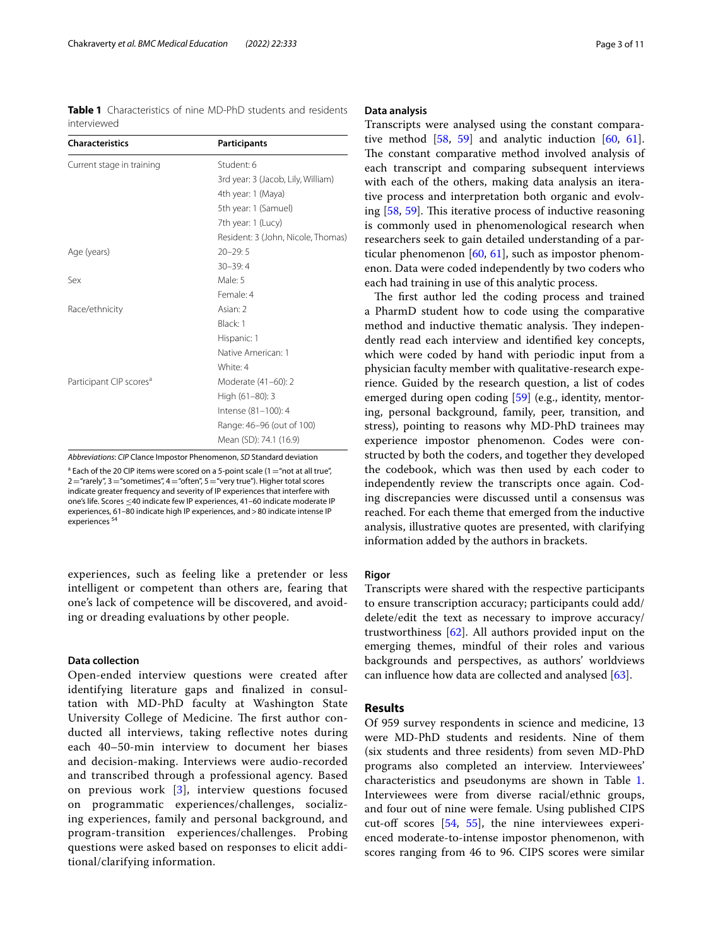<span id="page-2-0"></span>**Table 1** Characteristics of nine MD-PhD students and residents interviewed

| <b>Characteristics</b>              | <b>Participants</b>                |
|-------------------------------------|------------------------------------|
| Current stage in training           | Student: 6                         |
|                                     | 3rd year: 3 (Jacob, Lily, William) |
|                                     | 4th year: 1 (Maya)                 |
|                                     | 5th year: 1 (Samuel)               |
|                                     | 7th year: 1 (Lucy)                 |
|                                     | Resident: 3 (John, Nicole, Thomas) |
| Age (years)                         | $20 - 29:5$                        |
|                                     | $30 - 39:4$                        |
| Sex                                 | Male: 5                            |
|                                     | Female: 4                          |
| Race/ethnicity                      | Asian: 2                           |
|                                     | Black: 1                           |
|                                     | Hispanic: 1                        |
|                                     | Native American: 1                 |
|                                     | White: 4                           |
| Participant CIP scores <sup>a</sup> | Moderate (41-60): 2                |
|                                     | High (61-80): 3                    |
|                                     | Intense (81-100): 4                |
|                                     | Range: 46-96 (out of 100)          |
|                                     | Mean (SD): 74.1 (16.9)             |

*Abbreviations*: *CIP* Clance Impostor Phenomenon, *SD* Standard deviation <sup>a</sup> Each of the 20 CIP items were scored on a 5-point scale (1 = "not at all true",  $2$  = "rarely",  $3$  = "sometimes",  $4$  = "often",  $5$  = "very true"). Higher total scores indicate greater frequency and severity of IP experiences that interfere with one's life. Scores ≤40 indicate few IP experiences, 41–60 indicate moderate IP experiences, 61–80 indicate high IP experiences, and>80 indicate intense IP experiences<sup>54</sup>

experiences, such as feeling like a pretender or less intelligent or competent than others are, fearing that one's lack of competence will be discovered, and avoiding or dreading evaluations by other people.

#### **Data collection**

Open-ended interview questions were created after identifying literature gaps and fnalized in consultation with MD-PhD faculty at Washington State University College of Medicine. The first author conducted all interviews, taking refective notes during each 40–50-min interview to document her biases and decision-making. Interviews were audio-recorded and transcribed through a professional agency. Based on previous work [[3\]](#page-8-2), interview questions focused on programmatic experiences/challenges, socializing experiences, family and personal background, and program-transition experiences/challenges. Probing questions were asked based on responses to elicit additional/clarifying information.

#### **Data analysis**

Transcripts were analysed using the constant comparative method [\[58,](#page-9-16) [59](#page-9-17)] and analytic induction [\[60,](#page-9-18) [61](#page-9-19)]. The constant comparative method involved analysis of each transcript and comparing subsequent interviews with each of the others, making data analysis an iterative process and interpretation both organic and evolv-ing [[58](#page-9-16), [59](#page-9-17)]. This iterative process of inductive reasoning is commonly used in phenomenological research when researchers seek to gain detailed understanding of a particular phenomenon  $[60, 61]$  $[60, 61]$  $[60, 61]$  $[60, 61]$  $[60, 61]$ , such as impostor phenomenon. Data were coded independently by two coders who each had training in use of this analytic process.

The first author led the coding process and trained a PharmD student how to code using the comparative method and inductive thematic analysis. They independently read each interview and identifed key concepts, which were coded by hand with periodic input from a physician faculty member with qualitative-research experience. Guided by the research question, a list of codes emerged during open coding [[59\]](#page-9-17) (e.g., identity, mentoring, personal background, family, peer, transition, and stress), pointing to reasons why MD-PhD trainees may experience impostor phenomenon. Codes were constructed by both the coders, and together they developed the codebook, which was then used by each coder to independently review the transcripts once again. Coding discrepancies were discussed until a consensus was reached. For each theme that emerged from the inductive analysis, illustrative quotes are presented, with clarifying information added by the authors in brackets.

## **Rigor**

Transcripts were shared with the respective participants to ensure transcription accuracy; participants could add/ delete/edit the text as necessary to improve accuracy/ trustworthiness [[62\]](#page-9-20). All authors provided input on the emerging themes, mindful of their roles and various backgrounds and perspectives, as authors' worldviews can infuence how data are collected and analysed [\[63\]](#page-9-21).

## **Results**

Of 959 survey respondents in science and medicine, 13 were MD-PhD students and residents. Nine of them (six students and three residents) from seven MD-PhD programs also completed an interview. Interviewees' characteristics and pseudonyms are shown in Table [1](#page-2-0). Interviewees were from diverse racial/ethnic groups, and four out of nine were female. Using published CIPS cut-off scores  $[54, 55]$  $[54, 55]$  $[54, 55]$  $[54, 55]$  $[54, 55]$ , the nine interviewees experienced moderate-to-intense impostor phenomenon, with scores ranging from 46 to 96. CIPS scores were similar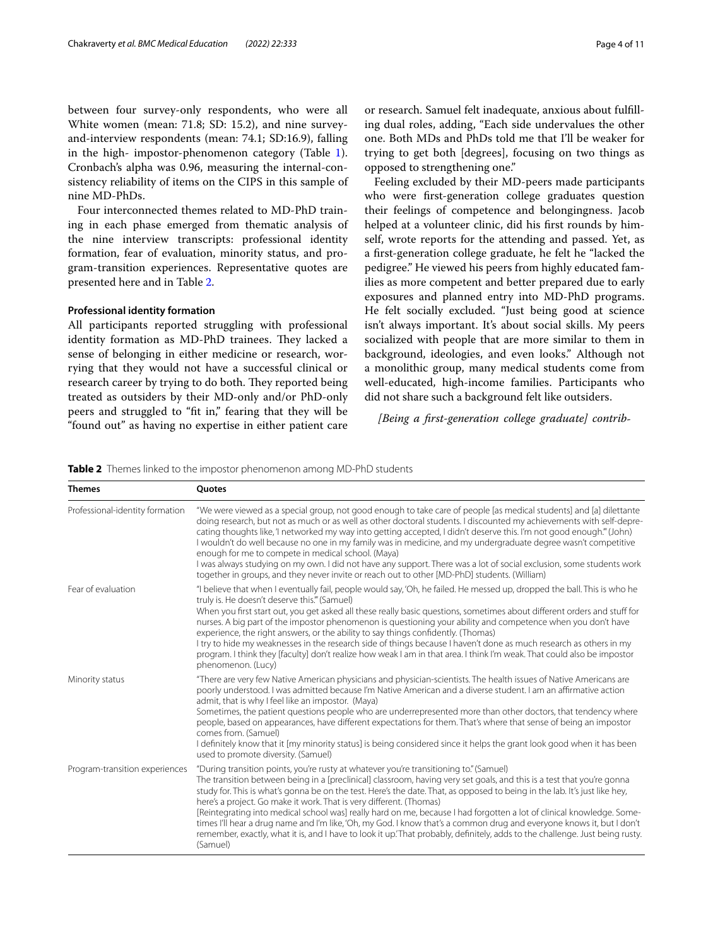between four survey-only respondents, who were all White women (mean: 71.8; SD: 15.2), and nine surveyand-interview respondents (mean: 74.1; SD:16.9), falling in the high- impostor-phenomenon category (Table [1](#page-2-0)). Cronbach's alpha was 0.96, measuring the internal-consistency reliability of items on the CIPS in this sample of nine MD-PhDs.

Four interconnected themes related to MD-PhD training in each phase emerged from thematic analysis of the nine interview transcripts: professional identity formation, fear of evaluation, minority status, and program-transition experiences. Representative quotes are presented here and in Table [2.](#page-3-0)

## **Professional identity formation**

All participants reported struggling with professional identity formation as MD-PhD trainees. They lacked a sense of belonging in either medicine or research, worrying that they would not have a successful clinical or research career by trying to do both. They reported being treated as outsiders by their MD-only and/or PhD-only peers and struggled to "ft in," fearing that they will be "found out" as having no expertise in either patient care or research. Samuel felt inadequate, anxious about fulflling dual roles, adding, "Each side undervalues the other one. Both MDs and PhDs told me that I'll be weaker for trying to get both [degrees], focusing on two things as opposed to strengthening one."

Feeling excluded by their MD-peers made participants who were frst-generation college graduates question their feelings of competence and belongingness. Jacob helped at a volunteer clinic, did his frst rounds by himself, wrote reports for the attending and passed. Yet, as a frst-generation college graduate, he felt he "lacked the pedigree." He viewed his peers from highly educated families as more competent and better prepared due to early exposures and planned entry into MD-PhD programs. He felt socially excluded. "Just being good at science isn't always important. It's about social skills. My peers socialized with people that are more similar to them in background, ideologies, and even looks." Although not a monolithic group, many medical students come from well-educated, high-income families. Participants who did not share such a background felt like outsiders.

## *[Being a frst-generation college graduate] contrib-*

<span id="page-3-0"></span>**Table 2** Themes linked to the impostor phenomenon among MD-PhD students

| <b>Themes</b>                   | <b>Ouotes</b>                                                                                                                                                                                                                                                                                                                                                                                                                                                                                                                                                                                                                                                                                                                                                                                                       |
|---------------------------------|---------------------------------------------------------------------------------------------------------------------------------------------------------------------------------------------------------------------------------------------------------------------------------------------------------------------------------------------------------------------------------------------------------------------------------------------------------------------------------------------------------------------------------------------------------------------------------------------------------------------------------------------------------------------------------------------------------------------------------------------------------------------------------------------------------------------|
| Professional-identity formation | "We were viewed as a special group, not good enough to take care of people [as medical students] and [a] dilettante<br>doing research, but not as much or as well as other doctoral students. I discounted my achievements with self-depre-<br>cating thoughts like, 'I networked my way into getting accepted, I didn't deserve this. I'm not good enough." (John)<br>I wouldn't do well because no one in my family was in medicine, and my undergraduate degree wasn't competitive<br>enough for me to compete in medical school. (Maya)<br>I was always studying on my own. I did not have any support. There was a lot of social exclusion, some students work<br>together in groups, and they never invite or reach out to other [MD-PhD] students. (William)                                                 |
| Fear of evaluation              | "I believe that when I eventually fail, people would say, 'Oh, he failed. He messed up, dropped the ball. This is who he<br>truly is. He doesn't deserve this." (Samuel)<br>When you first start out, you get asked all these really basic questions, sometimes about different orders and stuff for<br>nurses. A big part of the impostor phenomenon is questioning your ability and competence when you don't have<br>experience, the right answers, or the ability to say things confidently. (Thomas)<br>I try to hide my weaknesses in the research side of things because I haven't done as much research as others in my<br>program. I think they [faculty] don't realize how weak I am in that area. I think I'm weak. That could also be impostor<br>phenomenon. (Lucy)                                    |
| Minority status                 | "There are very few Native American physicians and physician-scientists. The health issues of Native Americans are<br>poorly understood. I was admitted because I'm Native American and a diverse student. I am an affirmative action<br>admit, that is why I feel like an impostor. (Maya)<br>Sometimes, the patient questions people who are underrepresented more than other doctors, that tendency where<br>people, based on appearances, have different expectations for them. That's where that sense of being an impostor<br>comes from. (Samuel)<br>I definitely know that it [my minority status] is being considered since it helps the grant look good when it has been<br>used to promote diversity. (Samuel)                                                                                           |
| Program-transition experiences  | "During transition points, you're rusty at whatever you're transitioning to." (Samuel)<br>The transition between being in a [preclinical] classroom, having very set goals, and this is a test that you're gonna<br>study for. This is what's gonna be on the test. Here's the date. That, as opposed to being in the lab. It's just like hey,<br>here's a project. Go make it work. That is very different. (Thomas)<br>[Reintegrating into medical school was] really hard on me, because I had forgotten a lot of clinical knowledge. Some-<br>times I'll hear a drug name and I'm like, 'Oh, my God. I know that's a common drug and everyone knows it, but I don't<br>remember, exactly, what it is, and I have to look it up. That probably, definitely, adds to the challenge. Just being rusty.<br>(Samuel) |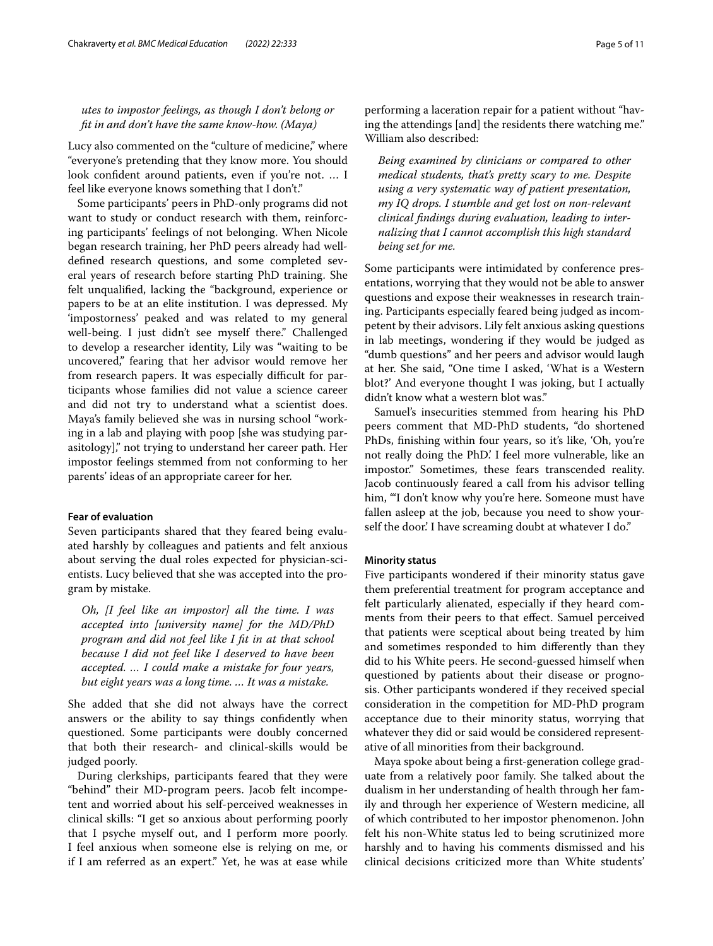*utes to impostor feelings, as though I don't belong or ft in and don't have the same know-how. (Maya)*

Lucy also commented on the "culture of medicine," where "everyone's pretending that they know more. You should look confident around patients, even if you're not. ... I feel like everyone knows something that I don't."

Some participants' peers in PhD-only programs did not want to study or conduct research with them, reinforcing participants' feelings of not belonging. When Nicole began research training, her PhD peers already had welldefned research questions, and some completed several years of research before starting PhD training. She felt unqualifed, lacking the "background, experience or papers to be at an elite institution. I was depressed. My 'impostorness' peaked and was related to my general well-being. I just didn't see myself there." Challenged to develop a researcher identity, Lily was "waiting to be uncovered," fearing that her advisor would remove her from research papers. It was especially difficult for participants whose families did not value a science career and did not try to understand what a scientist does. Maya's family believed she was in nursing school "working in a lab and playing with poop [she was studying parasitology]," not trying to understand her career path. Her impostor feelings stemmed from not conforming to her parents' ideas of an appropriate career for her.

#### **Fear of evaluation**

Seven participants shared that they feared being evaluated harshly by colleagues and patients and felt anxious about serving the dual roles expected for physician-scientists. Lucy believed that she was accepted into the program by mistake.

*Oh, [I feel like an impostor] all the time. I was accepted into [university name] for the MD/PhD program and did not feel like I ft in at that school because I did not feel like I deserved to have been accepted. … I could make a mistake for four years, but eight years was a long time. … It was a mistake.*

She added that she did not always have the correct answers or the ability to say things confdently when questioned. Some participants were doubly concerned that both their research- and clinical-skills would be judged poorly.

During clerkships, participants feared that they were "behind" their MD-program peers. Jacob felt incompetent and worried about his self-perceived weaknesses in clinical skills: "I get so anxious about performing poorly that I psyche myself out, and I perform more poorly. I feel anxious when someone else is relying on me, or if I am referred as an expert." Yet, he was at ease while performing a laceration repair for a patient without "having the attendings [and] the residents there watching me." William also described:

*Being examined by clinicians or compared to other medical students, that's pretty scary to me. Despite using a very systematic way of patient presentation, my IQ drops. I stumble and get lost on non-relevant clinical fndings during evaluation, leading to internalizing that I cannot accomplish this high standard being set for me.*

Some participants were intimidated by conference presentations, worrying that they would not be able to answer questions and expose their weaknesses in research training. Participants especially feared being judged as incompetent by their advisors. Lily felt anxious asking questions in lab meetings, wondering if they would be judged as "dumb questions" and her peers and advisor would laugh at her. She said, "One time I asked, 'What is a Western blot?' And everyone thought I was joking, but I actually didn't know what a western blot was."

Samuel's insecurities stemmed from hearing his PhD peers comment that MD-PhD students, "do shortened PhDs, fnishing within four years, so it's like, 'Oh, you're not really doing the PhD.' I feel more vulnerable, like an impostor." Sometimes, these fears transcended reality. Jacob continuously feared a call from his advisor telling him, "'I don't know why you're here. Someone must have fallen asleep at the job, because you need to show yourself the door.' I have screaming doubt at whatever I do."

#### **Minority status**

Five participants wondered if their minority status gave them preferential treatment for program acceptance and felt particularly alienated, especially if they heard comments from their peers to that efect. Samuel perceived that patients were sceptical about being treated by him and sometimes responded to him diferently than they did to his White peers. He second-guessed himself when questioned by patients about their disease or prognosis. Other participants wondered if they received special consideration in the competition for MD-PhD program acceptance due to their minority status, worrying that whatever they did or said would be considered representative of all minorities from their background.

Maya spoke about being a frst-generation college graduate from a relatively poor family. She talked about the dualism in her understanding of health through her family and through her experience of Western medicine, all of which contributed to her impostor phenomenon. John felt his non-White status led to being scrutinized more harshly and to having his comments dismissed and his clinical decisions criticized more than White students'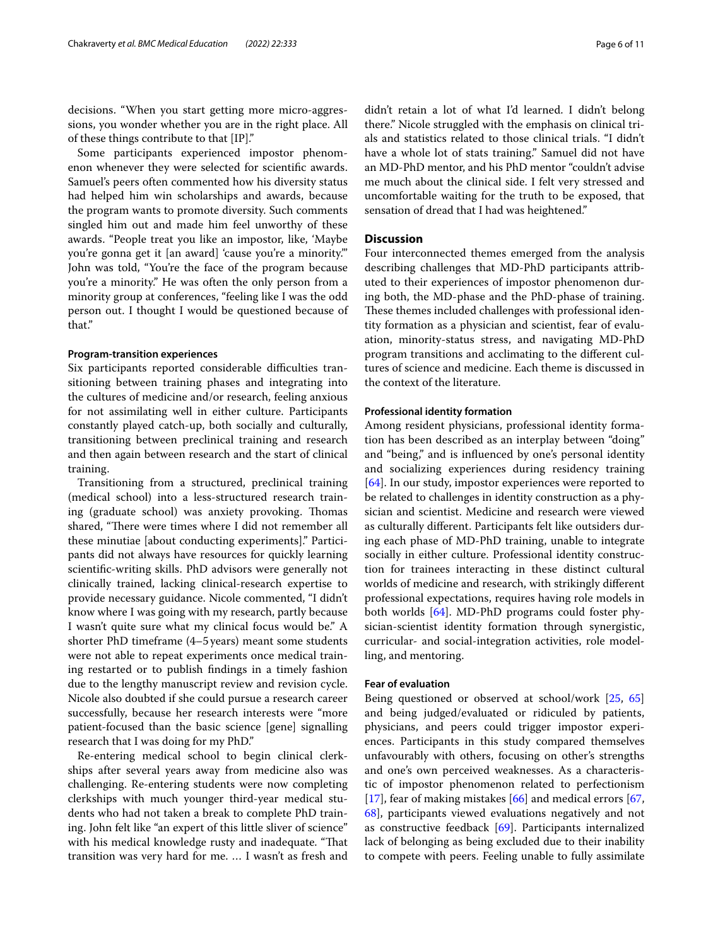decisions. "When you start getting more micro-aggressions, you wonder whether you are in the right place. All of these things contribute to that [IP]."

Some participants experienced impostor phenomenon whenever they were selected for scientifc awards. Samuel's peers often commented how his diversity status had helped him win scholarships and awards, because the program wants to promote diversity. Such comments singled him out and made him feel unworthy of these awards. "People treat you like an impostor, like, 'Maybe you're gonna get it [an award] 'cause you're a minority.'" John was told, "You're the face of the program because you're a minority." He was often the only person from a minority group at conferences, "feeling like I was the odd person out. I thought I would be questioned because of that."

#### **Program‑transition experiences**

Six participants reported considerable difficulties transitioning between training phases and integrating into the cultures of medicine and/or research, feeling anxious for not assimilating well in either culture. Participants constantly played catch-up, both socially and culturally, transitioning between preclinical training and research and then again between research and the start of clinical training.

Transitioning from a structured, preclinical training (medical school) into a less-structured research training (graduate school) was anxiety provoking. Thomas shared, "There were times where I did not remember all these minutiae [about conducting experiments]." Participants did not always have resources for quickly learning scientifc-writing skills. PhD advisors were generally not clinically trained, lacking clinical-research expertise to provide necessary guidance. Nicole commented, "I didn't know where I was going with my research, partly because I wasn't quite sure what my clinical focus would be." A shorter PhD timeframe (4–5years) meant some students were not able to repeat experiments once medical training restarted or to publish fndings in a timely fashion due to the lengthy manuscript review and revision cycle. Nicole also doubted if she could pursue a research career successfully, because her research interests were "more patient-focused than the basic science [gene] signalling research that I was doing for my PhD."

Re-entering medical school to begin clinical clerkships after several years away from medicine also was challenging. Re-entering students were now completing clerkships with much younger third-year medical students who had not taken a break to complete PhD training. John felt like "an expert of this little sliver of science" with his medical knowledge rusty and inadequate. "That transition was very hard for me. … I wasn't as fresh and didn't retain a lot of what I'd learned. I didn't belong there." Nicole struggled with the emphasis on clinical trials and statistics related to those clinical trials. "I didn't have a whole lot of stats training." Samuel did not have an MD-PhD mentor, and his PhD mentor "couldn't advise me much about the clinical side. I felt very stressed and uncomfortable waiting for the truth to be exposed, that sensation of dread that I had was heightened."

## **Discussion**

Four interconnected themes emerged from the analysis describing challenges that MD-PhD participants attributed to their experiences of impostor phenomenon during both, the MD-phase and the PhD-phase of training. These themes included challenges with professional identity formation as a physician and scientist, fear of evaluation, minority-status stress, and navigating MD-PhD program transitions and acclimating to the diferent cultures of science and medicine. Each theme is discussed in the context of the literature.

#### **Professional identity formation**

Among resident physicians, professional identity formation has been described as an interplay between "doing" and "being," and is infuenced by one's personal identity and socializing experiences during residency training [[64\]](#page-9-22). In our study, impostor experiences were reported to be related to challenges in identity construction as a physician and scientist. Medicine and research were viewed as culturally diferent. Participants felt like outsiders during each phase of MD-PhD training, unable to integrate socially in either culture. Professional identity construction for trainees interacting in these distinct cultural worlds of medicine and research, with strikingly diferent professional expectations, requires having role models in both worlds [\[64\]](#page-9-22). MD-PhD programs could foster physician-scientist identity formation through synergistic, curricular- and social-integration activities, role modelling, and mentoring.

## **Fear of evaluation**

Being questioned or observed at school/work [[25,](#page-8-23) [65](#page-9-23)] and being judged/evaluated or ridiculed by patients, physicians, and peers could trigger impostor experiences. Participants in this study compared themselves unfavourably with others, focusing on other's strengths and one's own perceived weaknesses. As a characteristic of impostor phenomenon related to perfectionism [[17\]](#page-8-21), fear of making mistakes [\[66](#page-9-24)] and medical errors [[67](#page-9-25), [68\]](#page-9-26), participants viewed evaluations negatively and not as constructive feedback [\[69](#page-9-27)]. Participants internalized lack of belonging as being excluded due to their inability to compete with peers. Feeling unable to fully assimilate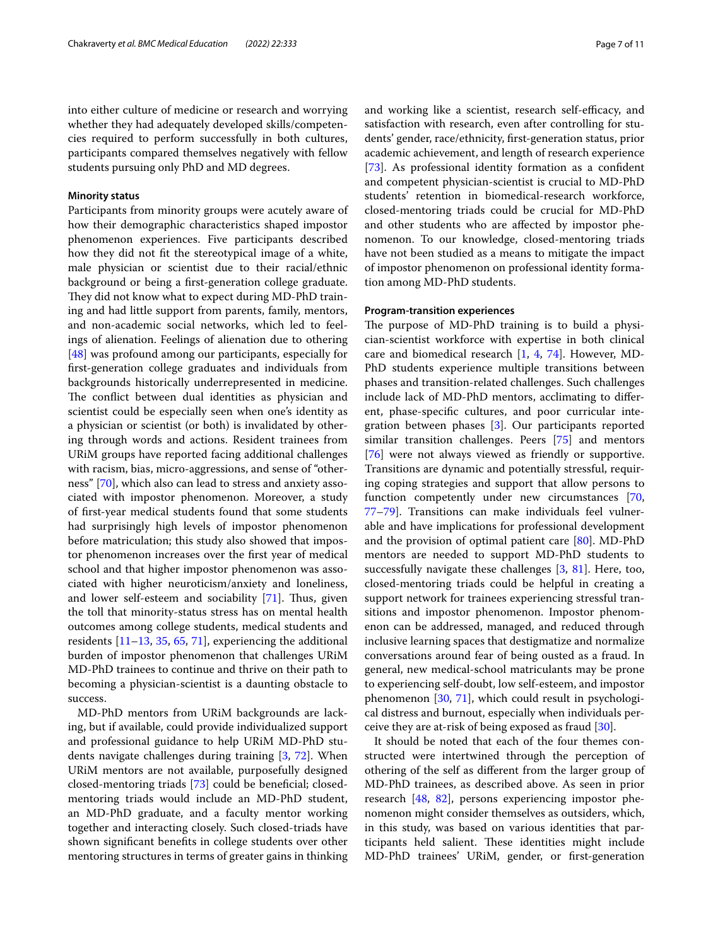into either culture of medicine or research and worrying whether they had adequately developed skills/competencies required to perform successfully in both cultures, participants compared themselves negatively with fellow students pursuing only PhD and MD degrees.

## **Minority status**

Participants from minority groups were acutely aware of how their demographic characteristics shaped impostor phenomenon experiences. Five participants described how they did not ft the stereotypical image of a white, male physician or scientist due to their racial/ethnic background or being a frst-generation college graduate. They did not know what to expect during MD-PhD training and had little support from parents, family, mentors, and non-academic social networks, which led to feelings of alienation. Feelings of alienation due to othering [[48\]](#page-9-7) was profound among our participants, especially for frst-generation college graduates and individuals from backgrounds historically underrepresented in medicine. The conflict between dual identities as physician and scientist could be especially seen when one's identity as a physician or scientist (or both) is invalidated by othering through words and actions. Resident trainees from URiM groups have reported facing additional challenges with racism, bias, micro-aggressions, and sense of "otherness" [[70](#page-9-28)], which also can lead to stress and anxiety associated with impostor phenomenon. Moreover, a study of frst-year medical students found that some students had surprisingly high levels of impostor phenomenon before matriculation; this study also showed that impostor phenomenon increases over the frst year of medical school and that higher impostor phenomenon was associated with higher neuroticism/anxiety and loneliness, and lower self-esteem and sociability  $[71]$  $[71]$ . Thus, given the toll that minority-status stress has on mental health outcomes among college students, medical students and residents [[11](#page-8-9)[–13](#page-8-10), [35](#page-8-22), [65](#page-9-23), [71\]](#page-9-29), experiencing the additional burden of impostor phenomenon that challenges URiM MD-PhD trainees to continue and thrive on their path to becoming a physician-scientist is a daunting obstacle to success.

MD-PhD mentors from URiM backgrounds are lacking, but if available, could provide individualized support and professional guidance to help URiM MD-PhD students navigate challenges during training [[3,](#page-8-2) [72](#page-9-30)]. When URiM mentors are not available, purposefully designed closed-mentoring triads [[73\]](#page-9-31) could be benefcial; closedmentoring triads would include an MD-PhD student, an MD-PhD graduate, and a faculty mentor working together and interacting closely. Such closed-triads have shown signifcant benefts in college students over other mentoring structures in terms of greater gains in thinking and working like a scientist, research self-efficacy, and satisfaction with research, even after controlling for students' gender, race/ethnicity, frst-generation status, prior academic achievement, and length of research experience [[73\]](#page-9-31). As professional identity formation as a confident and competent physician-scientist is crucial to MD-PhD students' retention in biomedical-research workforce, closed-mentoring triads could be crucial for MD-PhD and other students who are afected by impostor phenomenon. To our knowledge, closed-mentoring triads have not been studied as a means to mitigate the impact of impostor phenomenon on professional identity formation among MD-PhD students.

#### **Program‑transition experiences**

The purpose of MD-PhD training is to build a physician-scientist workforce with expertise in both clinical care and biomedical research [\[1](#page-8-0), [4](#page-8-3), [74](#page-9-32)]. However, MD-PhD students experience multiple transitions between phases and transition-related challenges. Such challenges include lack of MD-PhD mentors, acclimating to diferent, phase-specifc cultures, and poor curricular integration between phases [[3\]](#page-8-2). Our participants reported similar transition challenges. Peers [\[75\]](#page-9-33) and mentors [[76\]](#page-9-34) were not always viewed as friendly or supportive. Transitions are dynamic and potentially stressful, requiring coping strategies and support that allow persons to function competently under new circumstances [[70](#page-9-28), [77](#page-9-35)[–79](#page-9-36)]. Transitions can make individuals feel vulnerable and have implications for professional development and the provision of optimal patient care [\[80\]](#page-9-37). MD-PhD mentors are needed to support MD-PhD students to successfully navigate these challenges  $[3, 81]$  $[3, 81]$  $[3, 81]$ . Here, too, closed-mentoring triads could be helpful in creating a support network for trainees experiencing stressful transitions and impostor phenomenon. Impostor phenomenon can be addressed, managed, and reduced through inclusive learning spaces that destigmatize and normalize conversations around fear of being ousted as a fraud. In general, new medical-school matriculants may be prone to experiencing self-doubt, low self-esteem, and impostor phenomenon [[30](#page-8-24), [71\]](#page-9-29), which could result in psychological distress and burnout, especially when individuals perceive they are at-risk of being exposed as fraud [[30\]](#page-8-24).

It should be noted that each of the four themes constructed were intertwined through the perception of othering of the self as diferent from the larger group of MD-PhD trainees, as described above. As seen in prior research [\[48](#page-9-7), [82\]](#page-10-0), persons experiencing impostor phenomenon might consider themselves as outsiders, which, in this study, was based on various identities that participants held salient. These identities might include MD-PhD trainees' URiM, gender, or frst-generation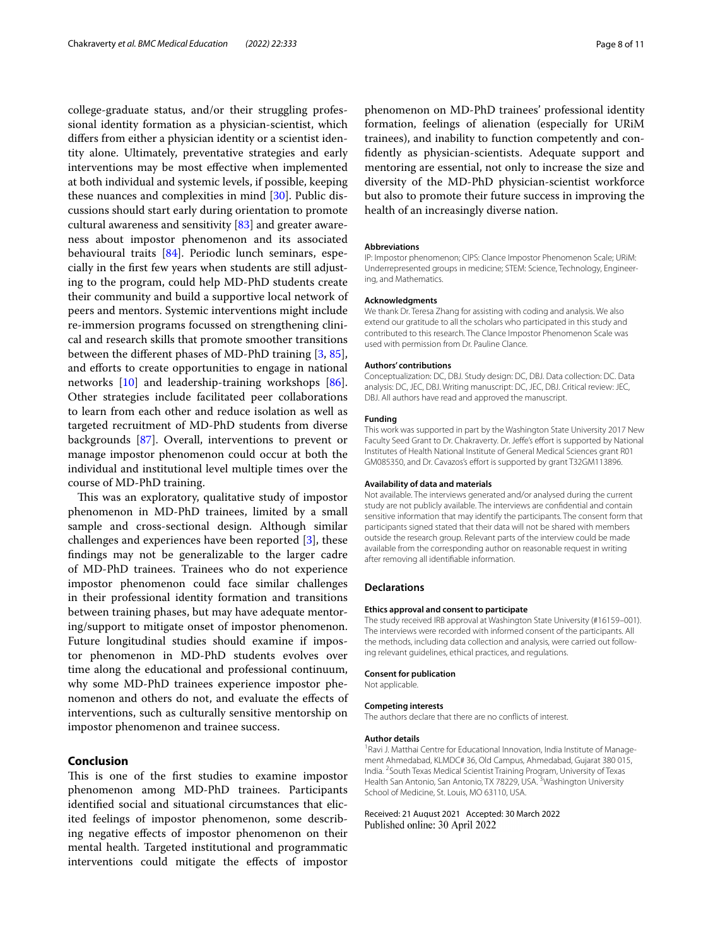college-graduate status, and/or their struggling professional identity formation as a physician-scientist, which difers from either a physician identity or a scientist identity alone. Ultimately, preventative strategies and early interventions may be most efective when implemented at both individual and systemic levels, if possible, keeping these nuances and complexities in mind [\[30](#page-8-24)]. Public discussions should start early during orientation to promote cultural awareness and sensitivity  $[83]$  $[83]$  and greater awareness about impostor phenomenon and its associated behavioural traits [[84](#page-10-2)]. Periodic lunch seminars, especially in the frst few years when students are still adjusting to the program, could help MD-PhD students create their community and build a supportive local network of peers and mentors. Systemic interventions might include re-immersion programs focussed on strengthening clinical and research skills that promote smoother transitions between the diferent phases of MD-PhD training [[3,](#page-8-2) [85](#page-10-3)], and efforts to create opportunities to engage in national networks [\[10](#page-8-8)] and leadership-training workshops [\[86](#page-10-4)]. Other strategies include facilitated peer collaborations to learn from each other and reduce isolation as well as targeted recruitment of MD-PhD students from diverse backgrounds [\[87\]](#page-10-5). Overall, interventions to prevent or manage impostor phenomenon could occur at both the individual and institutional level multiple times over the course of MD-PhD training.

This was an exploratory, qualitative study of impostor phenomenon in MD-PhD trainees, limited by a small sample and cross-sectional design. Although similar challenges and experiences have been reported [\[3\]](#page-8-2), these fndings may not be generalizable to the larger cadre of MD-PhD trainees. Trainees who do not experience impostor phenomenon could face similar challenges in their professional identity formation and transitions between training phases, but may have adequate mentoring/support to mitigate onset of impostor phenomenon. Future longitudinal studies should examine if impostor phenomenon in MD-PhD students evolves over time along the educational and professional continuum, why some MD-PhD trainees experience impostor phenomenon and others do not, and evaluate the efects of interventions, such as culturally sensitive mentorship on impostor phenomenon and trainee success.

## **Conclusion**

This is one of the first studies to examine impostor phenomenon among MD-PhD trainees. Participants identifed social and situational circumstances that elicited feelings of impostor phenomenon, some describing negative efects of impostor phenomenon on their mental health. Targeted institutional and programmatic interventions could mitigate the efects of impostor

phenomenon on MD-PhD trainees' professional identity formation, feelings of alienation (especially for URiM trainees), and inability to function competently and confdently as physician-scientists. Adequate support and mentoring are essential, not only to increase the size and diversity of the MD-PhD physician-scientist workforce but also to promote their future success in improving the health of an increasingly diverse nation.

#### **Abbreviations**

IP: Impostor phenomenon; CIPS: Clance Impostor Phenomenon Scale; URiM: Underrepresented groups in medicine; STEM: Science, Technology, Engineering, and Mathematics.

#### **Acknowledgments**

We thank Dr. Teresa Zhang for assisting with coding and analysis. We also extend our gratitude to all the scholars who participated in this study and contributed to this research. The Clance Impostor Phenomenon Scale was used with permission from Dr. Pauline Clance.

#### **Authors' contributions**

Conceptualization: DC, DBJ. Study design: DC, DBJ. Data collection: DC. Data analysis: DC, JEC, DBJ. Writing manuscript: DC, JEC, DBJ. Critical review: JEC, DBJ. All authors have read and approved the manuscript.

#### **Funding**

This work was supported in part by the Washington State University 2017 New Faculty Seed Grant to Dr. Chakraverty. Dr. Jeffe's effort is supported by National Institutes of Health National Institute of General Medical Sciences grant R01 GM085350, and Dr. Cavazos's effort is supported by grant T32GM113896.

#### **Availability of data and materials**

Not available. The interviews generated and/or analysed during the current study are not publicly available. The interviews are confdential and contain sensitive information that may identify the participants. The consent form that participants signed stated that their data will not be shared with members outside the research group. Relevant parts of the interview could be made available from the corresponding author on reasonable request in writing after removing all identifable information.

### **Declarations**

#### **Ethics approval and consent to participate**

The study received IRB approval at Washington State University (#16159–001). The interviews were recorded with informed consent of the participants. All the methods, including data collection and analysis, were carried out following relevant guidelines, ethical practices, and regulations.

#### **Consent for publication**

Not applicable.

#### **Competing interests**

The authors declare that there are no conficts of interest.

#### **Author details**

<sup>1</sup> Ravi J. Matthai Centre for Educational Innovation, India Institute of Management Ahmedabad, KLMDC# 36, Old Campus, Ahmedabad, Gujarat 380 015, India. <sup>2</sup> South Texas Medical Scientist Training Program, University of Texas Health San Antonio, San Antonio, TX 78229, USA. <sup>3</sup>Washington University School of Medicine, St. Louis, MO 63110, USA.

#### Received: 21 August 2021 Accepted: 30 March 2022Published online: 30 April 2022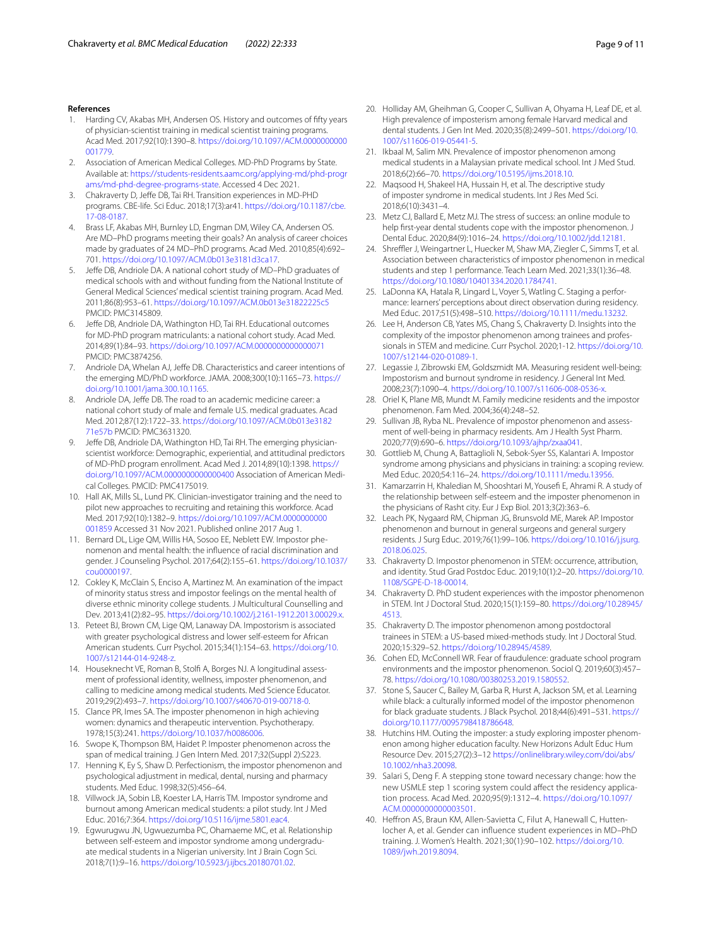#### **References**

- <span id="page-8-0"></span>1. Harding CV, Akabas MH, Andersen OS. History and outcomes of ffty years of physician-scientist training in medical scientist training programs. Acad Med. 2017;92(10):1390–8. [https://doi.org/10.1097/ACM.0000000000](https://doi.org/10.1097/ACM.0000000000001779) [001779.](https://doi.org/10.1097/ACM.0000000000001779)
- <span id="page-8-1"></span>2. Association of American Medical Colleges. MD-PhD Programs by State. Available at: [https://students-residents.aamc.org/applying-md/phd-progr](https://students-residents.aamc.org/applying-md/phd-programs/md-phd-degree-programs-state) [ams/md-phd-degree-programs-state.](https://students-residents.aamc.org/applying-md/phd-programs/md-phd-degree-programs-state) Accessed 4 Dec 2021.
- <span id="page-8-2"></span>3. Chakraverty D, Jefe DB, Tai RH. Transition experiences in MD-PHD programs. CBE-life. Sci Educ. 2018;17(3):ar41. [https://doi.org/10.1187/cbe.](https://doi.org/10.1187/cbe.17-08-0187) [17-08-0187](https://doi.org/10.1187/cbe.17-08-0187).
- <span id="page-8-3"></span>4. Brass LF, Akabas MH, Burnley LD, Engman DM, Wiley CA, Andersen OS. Are MD–PhD programs meeting their goals? An analysis of career choices made by graduates of 24 MD–PhD programs. Acad Med. 2010;85(4):692– 701. <https://doi.org/10.1097/ACM.0b013e3181d3ca17>.
- 5. Jefe DB, Andriole DA. A national cohort study of MD–PhD graduates of medical schools with and without funding from the National Institute of General Medical Sciences' medical scientist training program. Acad Med. 2011;86(8):953–61. <https://doi.org/10.1097/ACM.0b013e31822225c5> PMCID: PMC3145809.
- <span id="page-8-4"></span>Jeffe DB, Andriole DA, Wathington HD, Tai RH. Educational outcomes for MD-PhD program matriculants: a national cohort study. Acad Med. 2014;89(1):84–93.<https://doi.org/10.1097/ACM.0000000000000071> PMCID: PMC3874256.
- <span id="page-8-5"></span>7. Andriole DA, Whelan AJ, Jeffe DB. Characteristics and career intentions of the emerging MD/PhD workforce. JAMA. 2008;300(10):1165–73. [https://](https://doi.org/10.1001/jama.300.10.1165) [doi.org/10.1001/jama.300.10.1165.](https://doi.org/10.1001/jama.300.10.1165)
- <span id="page-8-6"></span>8. Andriole DA, Jeffe DB. The road to an academic medicine career: a national cohort study of male and female U.S. medical graduates. Acad Med. 2012;87(12):1722–33. [https://doi.org/10.1097/ACM.0b013e3182](https://doi.org/10.1097/ACM.0b013e318271e57b) [71e57b](https://doi.org/10.1097/ACM.0b013e318271e57b) PMCID: PMC3631320.
- <span id="page-8-7"></span>9. Jeffe DB, Andriole DA, Wathington HD, Tai RH. The emerging physicianscientist workforce: Demographic, experiential, and attitudinal predictors of MD-PhD program enrollment. Acad Med J. 2014;89(10):1398. [https://](https://doi.org/10.1097/ACM.0000000000000400) [doi.org/10.1097/ACM.0000000000000400](https://doi.org/10.1097/ACM.0000000000000400) Association of American Medical Colleges. PMCID: PMC4175019.
- <span id="page-8-8"></span>10. Hall AK, Mills SL, Lund PK. Clinician-investigator training and the need to pilot new approaches to recruiting and retaining this workforce. Acad Med. 2017;92(10):1382–9. [https://doi.org/10.1097/ACM.0000000000](https://doi.org/10.1097/ACM.0000000000001859) [001859](https://doi.org/10.1097/ACM.0000000000001859) Accessed 31 Nov 2021. Published online 2017 Aug 1.
- <span id="page-8-9"></span>11. Bernard DL, Lige QM, Willis HA, Sosoo EE, Neblett EW. Impostor phenomenon and mental health: the infuence of racial discrimination and gender. J Counseling Psychol. 2017;64(2):155–61. [https://doi.org/10.1037/](https://doi.org/10.1037/cou0000197) [cou0000197.](https://doi.org/10.1037/cou0000197)
- 12. Cokley K, McClain S, Enciso A, Martinez M. An examination of the impact of minority status stress and impostor feelings on the mental health of diverse ethnic minority college students. J Multicultural Counselling and Dev. 2013;41(2):82–95. <https://doi.org/10.1002/j.2161-1912.2013.00029.x>.
- <span id="page-8-10"></span>13. Peteet BJ, Brown CM, Lige QM, Lanaway DA. Impostorism is associated with greater psychological distress and lower self-esteem for African American students. Curr Psychol. 2015;34(1):154–63. [https://doi.org/10.](https://doi.org/10.1007/s12144-014-9248-z) [1007/s12144-014-9248-z](https://doi.org/10.1007/s12144-014-9248-z).
- <span id="page-8-11"></span>14. Houseknecht VE, Roman B, Stolf A, Borges NJ. A longitudinal assessment of professional identity, wellness, imposter phenomenon, and calling to medicine among medical students. Med Science Educator. 2019;29(2):493–7. [https://doi.org/10.1007/s40670-019-00718-0.](https://doi.org/10.1007/s40670-019-00718-0)
- <span id="page-8-12"></span>15. Clance PR, Imes SA. The imposter phenomenon in high achieving women: dynamics and therapeutic intervention. Psychotherapy. 1978;15(3):241. <https://doi.org/10.1037/h0086006>.
- <span id="page-8-13"></span>16. Swope K, Thompson BM, Haidet P. Imposter phenomenon across the span of medical training. J Gen Intern Med. 2017;32(Suppl 2):S223.
- <span id="page-8-21"></span>17. Henning K, Ey S, Shaw D. Perfectionism, the impostor phenomenon and psychological adjustment in medical, dental, nursing and pharmacy students. Med Educ. 1998;32(5):456–64.
- <span id="page-8-20"></span>18. Villwock JA, Sobin LB, Koester LA, Harris TM. Impostor syndrome and burnout among American medical students: a pilot study. Int J Med Educ. 2016;7:364.<https://doi.org/10.5116/ijme.5801.eac4>.
- 19. Egwurugwu JN, Ugwuezumba PC, Ohamaeme MC, et al. Relationship between self-esteem and impostor syndrome among undergraduate medical students in a Nigerian university. Int J Brain Cogn Sci. 2018;7(1):9–16. <https://doi.org/10.5923/j.ijbcs.20180701.02>.
- 20. Holliday AM, Gheihman G, Cooper C, Sullivan A, Ohyama H, Leaf DE, et al. High prevalence of imposterism among female Harvard medical and dental students. J Gen Int Med. 2020;35(8):2499–501. [https://doi.org/10.](https://doi.org/10.1007/s11606-019-05441-5) [1007/s11606-019-05441-5.](https://doi.org/10.1007/s11606-019-05441-5)
- 21. Ikbaal M, Salim MN. Prevalence of impostor phenomenon among medical students in a Malaysian private medical school. Int J Med Stud. 2018;6(2):66–70. <https://doi.org/10.5195/ijms.2018.10>.
- 22. Maqsood H, Shakeel HA, Hussain H, et al. The descriptive study of imposter syndrome in medical students. Int J Res Med Sci. 2018;6(10):3431–4.
- 23. Metz CJ, Ballard E, Metz MJ. The stress of success: an online module to help frst-year dental students cope with the impostor phenomenon. J Dental Educ. 2020;84(9):1016–24. [https://doi.org/10.1002/jdd.12181.](https://doi.org/10.1002/jdd.12181)
- 24. Shreffler J, Weingartner L, Huecker M, Shaw MA, Ziegler C, Simms T, et al. Association between characteristics of impostor phenomenon in medical students and step 1 performance. Teach Learn Med. 2021;33(1):36–48. [https://doi.org/10.1080/10401334.2020.1784741.](https://doi.org/10.1080/10401334.2020.1784741)
- <span id="page-8-23"></span>25. LaDonna KA, Hatala R, Lingard L, Voyer S, Watling C. Staging a performance: learners' perceptions about direct observation during residency. Med Educ. 2017;51(5):498–510. [https://doi.org/10.1111/medu.13232.](https://doi.org/10.1111/medu.13232)
- 26. Lee H, Anderson CB, Yates MS, Chang S, Chakraverty D. Insights into the complexity of the impostor phenomenon among trainees and professionals in STEM and medicine. Curr Psychol. 2020;1-12. [https://doi.org/10.](https://doi.org/10.1007/s12144-020-01089-1) [1007/s12144-020-01089-1.](https://doi.org/10.1007/s12144-020-01089-1)
- 27. Legassie J, Zibrowski EM, Goldszmidt MA. Measuring resident well-being: Impostorism and burnout syndrome in residency. J General Int Med. 2008;23(7):1090–4. <https://doi.org/10.1007/s11606-008-0536-x>.
- 28. Oriel K, Plane MB, Mundt M. Family medicine residents and the impostor phenomenon. Fam Med. 2004;36(4):248–52.
- 29. Sullivan JB, Ryba NL. Prevalence of impostor phenomenon and assessment of well-being in pharmacy residents. Am J Health Syst Pharm. 2020;77(9):690–6. [https://doi.org/10.1093/ajhp/zxaa041.](https://doi.org/10.1093/ajhp/zxaa041)
- <span id="page-8-24"></span>30. Gottlieb M, Chung A, Battaglioli N, Sebok-Syer SS, Kalantari A. Impostor syndrome among physicians and physicians in training: a scoping review. Med Educ. 2020;54:116–24. [https://doi.org/10.1111/medu.13956.](https://doi.org/10.1111/medu.13956)
- 31. Kamarzarrin H, Khaledian M, Shooshtari M, Yousef E, Ahrami R. A study of the relationship between self-esteem and the imposter phenomenon in the physicians of Rasht city. Eur J Exp Biol. 2013;3(2):363–6.
- <span id="page-8-14"></span>32. Leach PK, Nygaard RM, Chipman JG, Brunsvold ME, Marek AP. Impostor phenomenon and burnout in general surgeons and general surgery residents. J Surg Educ. 2019;76(1):99–106. [https://doi.org/10.1016/j.jsurg.](https://doi.org/10.1016/j.jsurg.2018.06.025) [2018.06.025](https://doi.org/10.1016/j.jsurg.2018.06.025).
- <span id="page-8-15"></span>33. Chakraverty D. Impostor phenomenon in STEM: occurrence, attribution, and identity. Stud Grad Postdoc Educ. 2019;10(1):2–20. [https://doi.org/10.](https://doi.org/10.1108/SGPE-D-18-00014) [1108/SGPE-D-18-00014.](https://doi.org/10.1108/SGPE-D-18-00014)
- 34. Chakraverty D. PhD student experiences with the impostor phenomenon in STEM. Int J Doctoral Stud. 2020;15(1):159–80. [https://doi.org/10.28945/](https://doi.org/10.28945/4513) [4513](https://doi.org/10.28945/4513).
- <span id="page-8-22"></span>35. Chakraverty D. The impostor phenomenon among postdoctoral trainees in STEM: a US-based mixed-methods study. Int J Doctoral Stud. 2020;15:329–52.<https://doi.org/10.28945/4589>.
- 36. Cohen ED, McConnell WR. Fear of fraudulence: graduate school program environments and the impostor phenomenon. Sociol Q. 2019;60(3):457– 78. [https://doi.org/10.1080/00380253.2019.1580552.](https://doi.org/10.1080/00380253.2019.1580552)
- <span id="page-8-16"></span>37. Stone S, Saucer C, Bailey M, Garba R, Hurst A, Jackson SM, et al. Learning while black: a culturally informed model of the impostor phenomenon for black graduate students. J Black Psychol. 2018;44(6):491–531. [https://](https://doi.org/10.1177/0095798418786648) [doi.org/10.1177/0095798418786648.](https://doi.org/10.1177/0095798418786648)
- <span id="page-8-17"></span>38. Hutchins HM. Outing the imposter: a study exploring imposter phenomenon among higher education faculty. New Horizons Adult Educ Hum Resource Dev. 2015;27(2):3–12 [https://onlinelibrary.wiley.com/doi/abs/](http://dx.doi.org/10.1002/nha3.20098) [10.1002/nha3.20098](http://dx.doi.org/10.1002/nha3.20098).
- <span id="page-8-18"></span>39. Salari S, Deng F. A stepping stone toward necessary change: how the new USMLE step 1 scoring system could affect the residency application process. Acad Med. 2020;95(9):1312–4. [https://doi.org/10.1097/](https://doi.org/10.1097/ACM.0000000000003501) [ACM.0000000000003501](https://doi.org/10.1097/ACM.0000000000003501).
- <span id="page-8-19"></span>40. Hefron AS, Braun KM, Allen-Savietta C, Filut A, Hanewall C, Huttenlocher A, et al. Gender can infuence student experiences in MD–PhD training. J. Women's Health. 2021;30(1):90–102. [https://doi.org/10.](https://doi.org/10.1089/jwh.2019.8094) [1089/jwh.2019.8094.](https://doi.org/10.1089/jwh.2019.8094)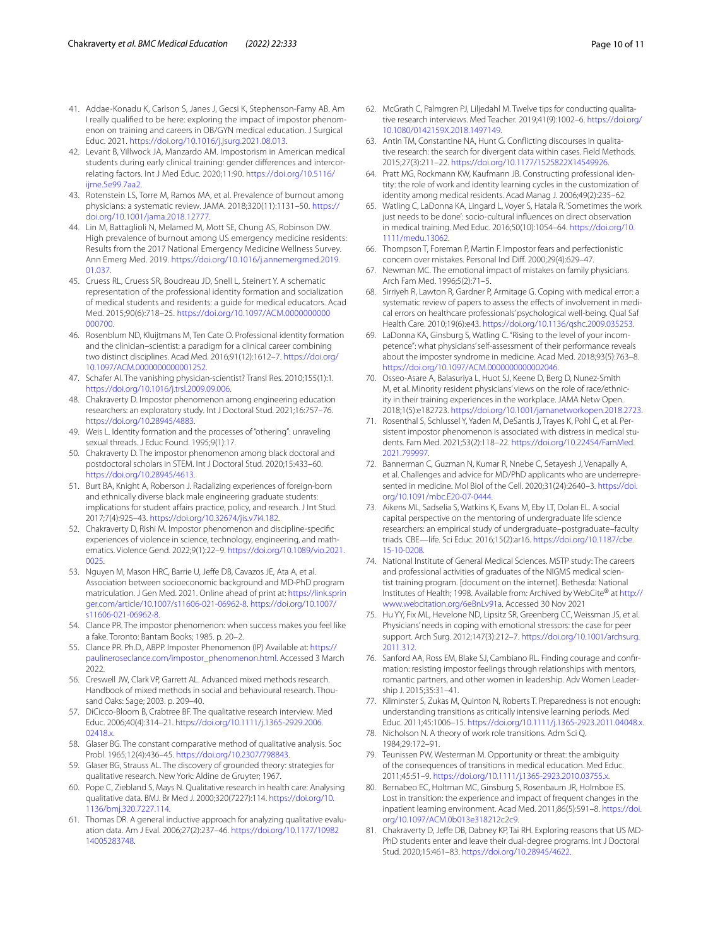- <span id="page-9-0"></span>41. Addae-Konadu K, Carlson S, Janes J, Gecsi K, Stephenson-Famy AB. Am I really qualifed to be here: exploring the impact of impostor phenomenon on training and careers in OB/GYN medical education. J Surgical Educ. 2021. [https://doi.org/10.1016/j.jsurg.2021.08.013.](https://doi.org/10.1016/j.jsurg.2021.08.013)
- <span id="page-9-1"></span>42. Levant B, Villwock JA, Manzardo AM. Impostorism in American medical students during early clinical training: gender diferences and intercorrelating factors. Int J Med Educ. 2020;11:90. [https://doi.org/10.5116/](https://doi.org/10.5116/ijme.5e99.7aa2) [ijme.5e99.7aa2](https://doi.org/10.5116/ijme.5e99.7aa2).
- <span id="page-9-2"></span>43. Rotenstein LS, Torre M, Ramos MA, et al. Prevalence of burnout among physicians: a systematic review. JAMA. 2018;320(11):1131–50. [https://](https://doi.org/10.1001/jama.2018.12777) [doi.org/10.1001/jama.2018.12777.](https://doi.org/10.1001/jama.2018.12777)
- <span id="page-9-3"></span>44. Lin M, Battaglioli N, Melamed M, Mott SE, Chung AS, Robinson DW. High prevalence of burnout among US emergency medicine residents: Results from the 2017 National Emergency Medicine Wellness Survey. Ann Emerg Med. 2019. [https://doi.org/10.1016/j.annemergmed.2019.](https://doi.org/10.1016/j.annemergmed.2019.01.037) [01.037.](https://doi.org/10.1016/j.annemergmed.2019.01.037)
- <span id="page-9-4"></span>45. Cruess RL, Cruess SR, Boudreau JD, Snell L, Steinert Y. A schematic representation of the professional identity formation and socialization of medical students and residents: a guide for medical educators. Acad Med. 2015;90(6):718–25. [https://doi.org/10.1097/ACM.0000000000](https://doi.org/10.1097/ACM.0000000000000700) [000700](https://doi.org/10.1097/ACM.0000000000000700).
- <span id="page-9-5"></span>46. Rosenblum ND, Kluijtmans M, Ten Cate O. Professional identity formation and the clinician–scientist: a paradigm for a clinical career combining two distinct disciplines. Acad Med. 2016;91(12):1612–7. [https://doi.org/](https://doi.org/10.1097/ACM.0000000000001252) [10.1097/ACM.0000000000001252.](https://doi.org/10.1097/ACM.0000000000001252)
- <span id="page-9-6"></span>47. Schafer AI. The vanishing physician-scientist? Transl Res. 2010;155(1):1. <https://doi.org/10.1016/j.trsl.2009.09.006>.
- <span id="page-9-7"></span>48. Chakraverty D. Impostor phenomenon among engineering education researchers: an exploratory study. Int J Doctoral Stud. 2021;16:757–76. [https://doi.org/10.28945/4883.](https://doi.org/10.28945/4883)
- <span id="page-9-8"></span>49. Weis L. Identity formation and the processes of "othering": unraveling sexual threads. J Educ Found. 1995;9(1):17.
- <span id="page-9-9"></span>50. Chakraverty D. The impostor phenomenon among black doctoral and postdoctoral scholars in STEM. Int J Doctoral Stud. 2020;15:433–60. [https://doi.org/10.28945/4613.](https://doi.org/10.28945/4613)
- 51. Burt BA, Knight A, Roberson J. Racializing experiences of foreign-born and ethnically diverse black male engineering graduate students: implications for student afairs practice, policy, and research. J Int Stud. 2017;7(4):925–43.<https://doi.org/10.32674/jis.v7i4.182>.
- <span id="page-9-10"></span>52. Chakraverty D, Rishi M. Impostor phenomenon and discipline-specifc experiences of violence in science, technology, engineering, and mathematics. Violence Gend. 2022;9(1):22–9. [https://doi.org/10.1089/vio.2021.](https://doi.org/10.1089/vio.2021.0025) [0025](https://doi.org/10.1089/vio.2021.0025).
- <span id="page-9-11"></span>53. Nguyen M, Mason HRC, Barrie U, Jeffe DB, Cavazos JE, Ata A, et al. Association between socioeconomic background and MD-PhD program matriculation. J Gen Med. 2021. Online ahead of print at: [https://link.sprin](http://dx.doi.org/10.1007/s11606-021-06962-8) [ger.com/article/10.1007/s11606-021-06962-8](http://dx.doi.org/10.1007/s11606-021-06962-8). [https://doi.org/10.1007/](https://doi.org/10.1007/s11606-021-06962-8) [s11606-021-06962-8](https://doi.org/10.1007/s11606-021-06962-8).
- <span id="page-9-12"></span>54. Clance PR. The impostor phenomenon: when success makes you feel like a fake. Toronto: Bantam Books; 1985. p. 20–2.
- <span id="page-9-13"></span>55. Clance PR. Ph.D., ABPP. Imposter Phenomenon (IP) Available at: [https://](https://paulineroseclance.com/impostor_phenomenon.html) [paulineroseclance.com/impostor\\_phenomenon.html](https://paulineroseclance.com/impostor_phenomenon.html). Accessed 3 March 2022.
- <span id="page-9-14"></span>56. Creswell JW, Clark VP, Garrett AL. Advanced mixed methods research. Handbook of mixed methods in social and behavioural research. Thousand Oaks: Sage; 2003. p. 209–40.
- <span id="page-9-15"></span>57. DiCicco-Bloom B, Crabtree BF. The qualitative research interview. Med Educ. 2006;40(4):314–21. [https://doi.org/10.1111/j.1365-2929.2006.](https://doi.org/10.1111/j.1365-2929.2006.02418.x) [02418.x.](https://doi.org/10.1111/j.1365-2929.2006.02418.x)
- <span id="page-9-16"></span>58. Glaser BG. The constant comparative method of qualitative analysis. Soc Probl. 1965;12(4):436–45.<https://doi.org/10.2307/798843>.
- <span id="page-9-17"></span>59. Glaser BG, Strauss AL. The discovery of grounded theory: strategies for qualitative research. New York: Aldine de Gruyter; 1967.
- <span id="page-9-18"></span>60. Pope C, Ziebland S, Mays N. Qualitative research in health care: Analysing qualitative data. BMJ. Br Med J. 2000;320(7227):114. [https://doi.org/10.](https://doi.org/10.1136/bmj.320.7227.114) [1136/bmj.320.7227.114](https://doi.org/10.1136/bmj.320.7227.114).
- <span id="page-9-19"></span>61. Thomas DR. A general inductive approach for analyzing qualitative evaluation data. Am J Eval. 2006;27(2):237–46. [https://doi.org/10.1177/10982](https://doi.org/10.1177/1098214005283748) [14005283748.](https://doi.org/10.1177/1098214005283748)
- <span id="page-9-20"></span>62. McGrath C, Palmgren PJ, Liljedahl M. Twelve tips for conducting qualitative research interviews. Med Teacher. 2019;41(9):1002-6. [https://doi.org/](https://doi.org/10.1080/0142159X.2018.1497149) [10.1080/0142159X.2018.1497149](https://doi.org/10.1080/0142159X.2018.1497149).
- <span id="page-9-21"></span>63. Antin TM, Constantine NA, Hunt G. Conficting discourses in qualitative research: the search for divergent data within cases. Field Methods. 2015;27(3):211–22. [https://doi.org/10.1177/1525822X14549926.](https://doi.org/10.1177/1525822X14549926)
- <span id="page-9-22"></span>64. Pratt MG, Rockmann KW, Kaufmann JB. Constructing professional identity: the role of work and identity learning cycles in the customization of identity among medical residents. Acad Manag J. 2006;49(2):235–62.
- <span id="page-9-23"></span>65. Watling C, LaDonna KA, Lingard L, Voyer S, Hatala R. 'Sometimes the work just needs to be done': socio-cultural infuences on direct observation in medical training. Med Educ. 2016;50(10):1054–64. [https://doi.org/10.](https://doi.org/10.1111/medu.13062) [1111/medu.13062](https://doi.org/10.1111/medu.13062).
- <span id="page-9-24"></span>66. Thompson T, Foreman P, Martin F. Impostor fears and perfectionistic concern over mistakes. Personal Ind Dif. 2000;29(4):629–47.
- <span id="page-9-25"></span>67. Newman MC. The emotional impact of mistakes on family physicians. Arch Fam Med. 1996;5(2):71–5.
- <span id="page-9-26"></span>68. Sirriyeh R, Lawton R, Gardner P, Armitage G. Coping with medical error: a systematic review of papers to assess the effects of involvement in medical errors on healthcare professionals' psychological well-being. Qual Saf Health Care. 2010;19(6):e43. [https://doi.org/10.1136/qshc.2009.035253.](https://doi.org/10.1136/qshc.2009.035253)
- <span id="page-9-27"></span>69. LaDonna KA, Ginsburg S, Watling C. "Rising to the level of your incompetence": what physicians' self-assessment of their performance reveals about the imposter syndrome in medicine. Acad Med. 2018;93(5):763–8. [https://doi.org/10.1097/ACM.0000000000002046.](https://doi.org/10.1097/ACM.0000000000002046)
- <span id="page-9-28"></span>70. Osseo-Asare A, Balasuriya L, Huot SJ, Keene D, Berg D, Nunez-Smith M, et al. Minority resident physicians' views on the role of race/ethnicity in their training experiences in the workplace. JAMA Netw Open. 2018;1(5):e182723. [https://doi.org/10.1001/jamanetworkopen.2018.2723.](https://doi.org/10.1001/jamanetworkopen.2018.2723)
- <span id="page-9-29"></span>71. Rosenthal S, Schlussel Y, Yaden M, DeSantis J, Trayes K, Pohl C, et al. Persistent impostor phenomenon is associated with distress in medical students. Fam Med. 2021;53(2):118–22. [https://doi.org/10.22454/FamMed.](https://doi.org/10.22454/FamMed.2021.799997) [2021.799997.](https://doi.org/10.22454/FamMed.2021.799997)
- <span id="page-9-30"></span>72. Bannerman C, Guzman N, Kumar R, Nnebe C, Setayesh J, Venapally A, et al. Challenges and advice for MD/PhD applicants who are underrepresented in medicine. Mol Biol of the Cell. 2020;31(24):2640–3. [https://doi.](https://doi.org/10.1091/mbc.E20-07-0444) [org/10.1091/mbc.E20-07-0444.](https://doi.org/10.1091/mbc.E20-07-0444)
- <span id="page-9-31"></span>73. Aikens ML, Sadselia S, Watkins K, Evans M, Eby LT, Dolan EL. A social capital perspective on the mentoring of undergraduate life science researchers: an empirical study of undergraduate–postgraduate–faculty triads. CBE—life. Sci Educ. 2016;15(2):ar16. [https://doi.org/10.1187/cbe.](https://doi.org/10.1187/cbe.15-10-0208) [15-10-0208](https://doi.org/10.1187/cbe.15-10-0208).
- <span id="page-9-32"></span>74. National Institute of General Medical Sciences. MSTP study: The careers and professional activities of graduates of the NIGMS medical scientist training program. [document on the internet]. Bethesda: National Institutes of Health; 1998. Available from: Archived by WebCite® at [http://](http://www.webcitation.org/6eBnLv91a) [www.webcitation.org/6eBnLv91a](http://www.webcitation.org/6eBnLv91a). Accessed 30 Nov 2021
- <span id="page-9-33"></span>75. Hu YY, Fix ML, Hevelone ND, Lipsitz SR, Greenberg CC, Weissman JS, et al. Physicians' needs in coping with emotional stressors: the case for peer support. Arch Surg. 2012;147(3):212–7. [https://doi.org/10.1001/archsurg.](https://doi.org/10.1001/archsurg.2011.312) [2011.312.](https://doi.org/10.1001/archsurg.2011.312)
- <span id="page-9-34"></span>76. Sanford AA, Ross EM, Blake SJ, Cambiano RL. Finding courage and confrmation: resisting impostor feelings through relationships with mentors, romantic partners, and other women in leadership. Adv Women Leadership J. 2015;35:31–41.
- <span id="page-9-35"></span>77. Kilminster S, Zukas M, Quinton N, Roberts T. Preparedness is not enough: understanding transitions as critically intensive learning periods. Med Educ. 2011;45:1006–15. [https://doi.org/10.1111/j.1365-2923.2011.04048.x.](https://doi.org/10.1111/j.1365-2923.2011.04048.x)
- 78. Nicholson N. A theory of work role transitions. Adm Sci Q. 1984;29:172–91.
- <span id="page-9-36"></span>79. Teunissen PW, Westerman M. Opportunity or threat: the ambiguity of the consequences of transitions in medical education. Med Educ. 2011;45:51–9. <https://doi.org/10.1111/j.1365-2923.2010.03755.x>.
- <span id="page-9-37"></span>80. Bernabeo EC, Holtman MC, Ginsburg S, Rosenbaum JR, Holmboe ES. Lost in transition: the experience and impact of frequent changes in the inpatient learning environment. Acad Med. 2011;86(5):591–8. [https://doi.](https://doi.org/10.1097/ACM.0b013e318212c2c9) [org/10.1097/ACM.0b013e318212c2c9.](https://doi.org/10.1097/ACM.0b013e318212c2c9)
- <span id="page-9-38"></span>81. Chakraverty D, Jeffe DB, Dabney KP, Tai RH. Exploring reasons that US MD-PhD students enter and leave their dual-degree programs. Int J Doctoral Stud. 2020;15:461–83.<https://doi.org/10.28945/4622>.